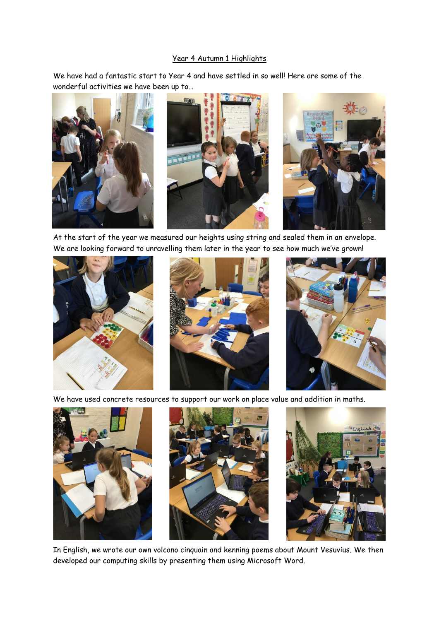## Year 4 Autumn 1 Highlights

We have had a fantastic start to Year 4 and have settled in so well! Here are some of the wonderful activities we have been up to…







At the start of the year we measured our heights using string and sealed them in an envelope. We are looking forward to unravelling them later in the year to see how much we've grown!







We have used concrete resources to support our work on place value and addition in maths.







In English, we wrote our own volcano cinquain and kenning poems about Mount Vesuvius. We then developed our computing skills by presenting them using Microsoft Word.